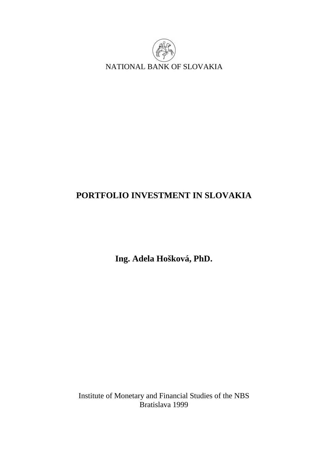

# **PORTFOLIO INVESTMENT IN SLOVAKIA**

**Ing. Adela Hošková, PhD.** 

Institute of Monetary and Financial Studies of the NBS Bratislava 1999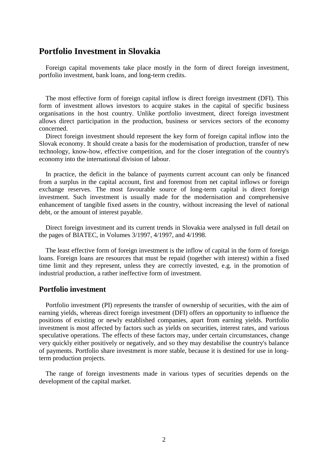# **Portfolio Investment in Slovakia**

 Foreign capital movements take place mostly in the form of direct foreign investment, portfolio investment, bank loans, and long-term credits.

 The most effective form of foreign capital inflow is direct foreign investment (DFI). This form of investment allows investors to acquire stakes in the capital of specific business organisations in the host country. Unlike portfolio investment, direct foreign investment allows direct participation in the production, business or services sectors of the economy concerned.

 Direct foreign investment should represent the key form of foreign capital inflow into the Slovak economy. It should create a basis for the modernisation of production, transfer of new technology, know-how, effective competition, and for the closer integration of the country's economy into the international division of labour.

 In practice, the deficit in the balance of payments current account can only be financed from a surplus in the capital account, first and foremost from net capital inflows or foreign exchange reserves. The most favourable source of long-term capital is direct foreign investment. Such investment is usually made for the modernisation and comprehensive enhancement of tangible fixed assets in the country, without increasing the level of national debt, or the amount of interest payable.

 Direct foreign investment and its current trends in Slovakia were analysed in full detail on the pages of BIATEC, in Volumes 3/1997, 4/1997, and 4/1998.

 The least effective form of foreign investment is the inflow of capital in the form of foreign loans. Foreign loans are resources that must be repaid (together with interest) within a fixed time limit and they represent, unless they are correctly invested, e.g. in the promotion of industrial production, a rather ineffective form of investment.

### **Portfolio investment**

 Portfolio investment (PI) represents the transfer of ownership of securities, with the aim of earning yields, whereas direct foreign investment (DFI) offers an opportunity to influence the positions of existing or newly established companies, apart from earning yields. Portfolio investment is most affected by factors such as yields on securities, interest rates, and various speculative operations. The effects of these factors may, under certain circumstances, change very quickly either positively or negatively, and so they may destabilise the country's balance of payments. Portfolio share investment is more stable, because it is destined for use in longterm production projects.

 The range of foreign investments made in various types of securities depends on the development of the capital market.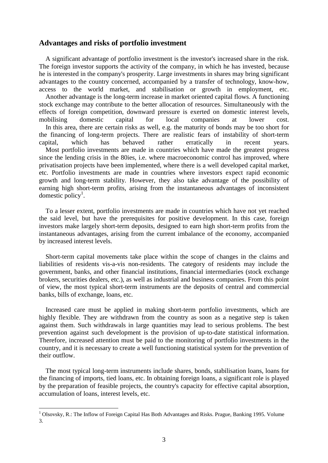#### **Advantages and risks of portfolio investment**

 A significant advantage of portfolio investment is the investor's increased share in the risk. The foreign investor supports the activity of the company, in which he has invested, because he is interested in the company's prosperity. Large investments in shares may bring significant advantages to the country concerned, accompanied by a transfer of technology, know-how, access to the world market, and stabilisation or growth in employment, etc. Another advantage is the long-term increase in market oriented capital flows. A functioning stock exchange may contribute to the better allocation of resources. Simultaneously with the effects of foreign competition, downward pressure is exerted on domestic interest levels, mobilising domestic capital for local companies at lower cost. In this area, there are certain risks as well, e.g. the maturity of bonds may be too short for the financing of long-term projects. There are realistic fears of instability of short-term capital, which has behaved rather erratically in recent years. Most portfolio investments are made in countries which have made the greatest progress since the lending crisis in the 80ies, i.e. where macroeconomic control has improved, where privatisation projects have been implemented, where there is a well developed capital market, etc. Portfolio investments are made in countries where investors expect rapid economic growth and long-term stability. However, they also take advantage of the possibility of earning high short-term profits, arising from the instantaneous advantages of inconsistent domestic policy<sup>1</sup>.

 To a lesser extent, portfolio investments are made in countries which have not yet reached the said level, but have the prerequisites for positive development. In this case, foreign investors make largely short-term deposits, designed to earn high short-term profits from the instantaneous advantages, arising from the current imbalance of the economy, accompanied by increased interest levels.

 Short-term capital movements take place within the scope of changes in the claims and liabilities of residents vis-a-vis non-residents. The category of residents may include the government, banks, and other financial institutions, financial intermediaries (stock exchange brokers, securities dealers, etc.), as well as industrial and business companies. From this point of view, the most typical short-term instruments are the deposits of central and commercial banks, bills of exchange, loans, etc.

 Increased care must be applied in making short-term portfolio investments, which are highly flexible. They are withdrawn from the country as soon as a negative step is taken against them. Such withdrawals in large quantities may lead to serious problems. The best prevention against such development is the provision of up-to-date statistical information. Therefore, increased attention must be paid to the monitoring of portfolio investments in the country, and it is necessary to create a well functioning statistical system for the prevention of their outflow.

 The most typical long-term instruments include shares, bonds, stabilisation loans, loans for the financing of imports, tied loans, etc. In obtaining foreign loans, a significant role is played by the preparation of feasible projects, the country's capacity for effective capital absorption, accumulation of loans, interest levels, etc.

 $\overline{a}$ 

 $1$  Olsovsky, R.: The Inflow of Foreign Capital Has Both Advantages and Risks. Prague, Banking 1995. Volume 3.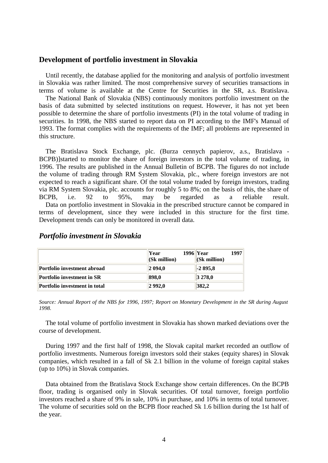#### **Development of portfolio investment in Slovakia**

 Until recently, the database applied for the monitoring and analysis of portfolio investment in Slovakia was rather limited. The most comprehensive survey of securities transactions in terms of volume is available at the Centre for Securities in the SR, a.s. Bratislava. The National Bank of Slovakia (NBS) continuously monitors portfolio investment on the basis of data submitted by selected institutions on request. However, it has not yet been possible to determine the share of portfolio investments (PI) in the total volume of trading in securities. In 1998, the NBS started to report data on PI according to the IMF's Manual of 1993. The format complies with the requirements of the IMF; all problems are represented in this structure.

 The Bratislava Stock Exchange, plc. (Burza cennych papierov, a.s., Bratislava - BCPB)]started to monitor the share of foreign investors in the total volume of trading, in 1996. The results are published in the Annual Bulletin of BCPB. The figures do not include the volume of trading through RM System Slovakia, plc., where foreign investors are not expected to reach a significant share. Of the total volume traded by foreign investors, trading via RM System Slovakia, plc. accounts for roughly 5 to 8%; on the basis of this, the share of BCPB, i.e. 92 to 95%, may be regarded as a reliable result. Data on portfolio investment in Slovakia in the prescribed structure cannot be compared in terms of development, since they were included in this structure for the first time. Development trends can only be monitored in overall data.

|                                   | Year<br>$ $ (Sk million) | 1997<br>$1996$ Year<br>$\vert$ (Sk million) |
|-----------------------------------|--------------------------|---------------------------------------------|
| Portfolio investment abroad       | 2094.0                   | $-2895.8$                                   |
| <b>Portfolio investment in SR</b> | 898.0                    | $ 3\,278,0$                                 |
| Portfolio investment in total     | 2992.0                   | 382,2                                       |

#### *Portfolio investment in Slovakia*

Source: Annual Report of the NBS for 1996, 1997; Report on Monetary Development in the SR during August *1998.*

 The total volume of portfolio investment in Slovakia has shown marked deviations over the course of development.

 During 1997 and the first half of 1998, the Slovak capital market recorded an outflow of portfolio investments. Numerous foreign investors sold their stakes (equity shares) in Slovak companies, which resulted in a fall of Sk 2.1 billion in the volume of foreign capital stakes (up to 10%) in Slovak companies.

 Data obtained from the Bratislava Stock Exchange show certain differences. On the BCPB floor, trading is organised only in Slovak securities. Of total turnover, foreign portfolio investors reached a share of 9% in sale, 10% in purchase, and 10% in terms of total turnover. The volume of securities sold on the BCPB floor reached Sk 1.6 billion during the 1st half of the year.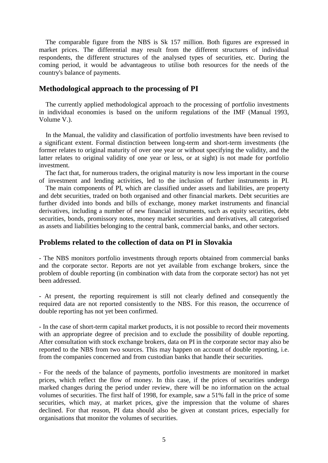The comparable figure from the NBS is Sk 157 million. Both figures are expressed in market prices. The differential may result from the different structures of individual respondents, the different structures of the analysed types of securities, etc. During the coming period, it would be advantageous to utilise both resources for the needs of the country's balance of payments.

## **Methodological approach to the processing of PI**

 The currently applied methodological approach to the processing of portfolio investments in individual economies is based on the uniform regulations of the IMF (Manual 1993, Volume V.).

 In the Manual, the validity and classification of portfolio investments have been revised to a significant extent. Formal distinction between long-term and short-term investments (the former relates to original maturity of over one year or without specifying the validity, and the latter relates to original validity of one year or less, or at sight) is not made for portfolio investment.

 The fact that, for numerous traders, the original maturity is now less important in the course of investment and lending activities, led to the inclusion of further instruments in PI.

 The main components of PI, which are classified under assets and liabilities, are property and debt securities, traded on both organised and other financial markets. Debt securities are further divided into bonds and bills of exchange, money market instruments and financial derivatives, including a number of new financial instruments, such as equity securities, debt securities, bonds, promissory notes, money market securities and derivatives, all categorised as assets and liabilities belonging to the central bank, commercial banks, and other sectors.

## **Problems related to the collection of data on PI in Slovakia**

- The NBS monitors portfolio investments through reports obtained from commercial banks and the corporate sector. Reports are not yet available from exchange brokers, since the problem of double reporting (in combination with data from the corporate sector) has not yet been addressed.

- At present, the reporting requirement is still not clearly defined and consequently the required data are not reported consistently to the NBS. For this reason, the occurrence of double reporting has not yet been confirmed.

- In the case of short-term capital market products, it is not possible to record their movements with an appropriate degree of precision and to exclude the possibility of double reporting. After consultation with stock exchange brokers, data on PI in the corporate sector may also be reported to the NBS from two sources. This may happen on account of double reporting, i.e. from the companies concerned and from custodian banks that handle their securities.

- For the needs of the balance of payments, portfolio investments are monitored in market prices, which reflect the flow of money. In this case, if the prices of securities undergo marked changes during the period under review, there will be no information on the actual volumes of securities. The first half of 1998, for example, saw a 51% fall in the price of some securities, which may, at market prices, give the impression that the volume of shares declined. For that reason, PI data should also be given at constant prices, especially for organisations that monitor the volumes of securities.